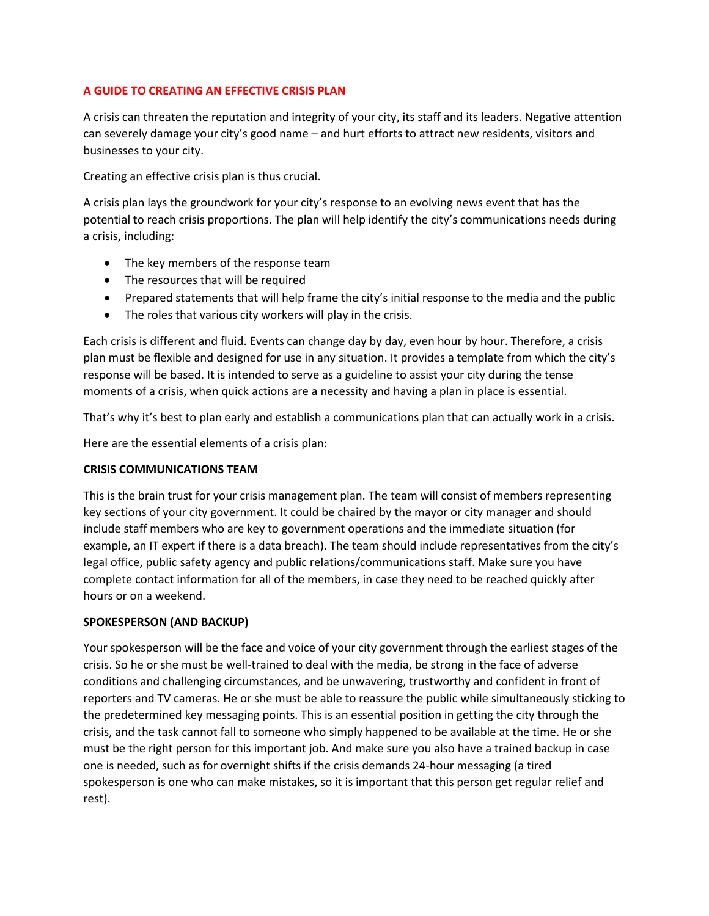# **A GUIDE TO CREATING AN EFFECTIVE CRISIS PLAN**

A crisis can threaten the reputation and integrity of your city, its staff and its leaders. Negative attention can severely damage your city's good name – and hurt efforts to attract new residents, visitors and businesses to your city.

Creating an effective crisis plan is thus crucial.

A crisis plan lays the groundwork for your city's response to an evolving news event that has the potential to reach crisis proportions. The plan will help identify the city's communications needs during a crisis, including:

- The key members of the response team
- The resources that will be required
- Prepared statements that will help frame the city's initial response to the media and the public
- The roles that various city workers will play in the crisis.

Each crisis is different and fluid. Events can change day by day, even hour by hour. Therefore, a crisis plan must be flexible and designed for use in any situation. It provides a template from which the city's response will be based. It is intended to serve as a guideline to assist your city during the tense moments of a crisis, when quick actions are a necessity and having a plan in place is essential.

That's why it's best to plan early and establish a communications plan that can actually work in a crisis.

Here are the essential elements of a crisis plan:

## **CRISIS COMMUNICATIONS TEAM**

This is the brain trust for your crisis management plan. The team will consist of members representing key sections of your city government. It could be chaired by the mayor or city manager and should include staff members who are key to government operations and the immediate situation (for example, an IT expert if there is a data breach). The team should include representatives from the city's legal office, public safety agency and public relations/communications staff. Make sure you have complete contact information for all of the members, in case they need to be reached quickly after hours or on a weekend.

## **SPOKESPERSON (AND BACKUP)**

Your spokesperson will be the face and voice of your city government through the earliest stages of the crisis. So he or she must be well-trained to deal with the media, be strong in the face of adverse conditions and challenging circumstances, and be unwavering, trustworthy and confident in front of reporters and TV cameras. He or she must be able to reassure the public while simultaneously sticking to the predetermined key messaging points. This is an essential position in getting the city through the crisis, and the task cannot fall to someone who simply happened to be available at the time. He or she must be the right person for this important job. And make sure you also have a trained backup in case one is needed, such as for overnight shifts if the crisis demands 24-hour messaging (a tired spokesperson is one who can make mistakes, so it is important that this person get regular relief and rest).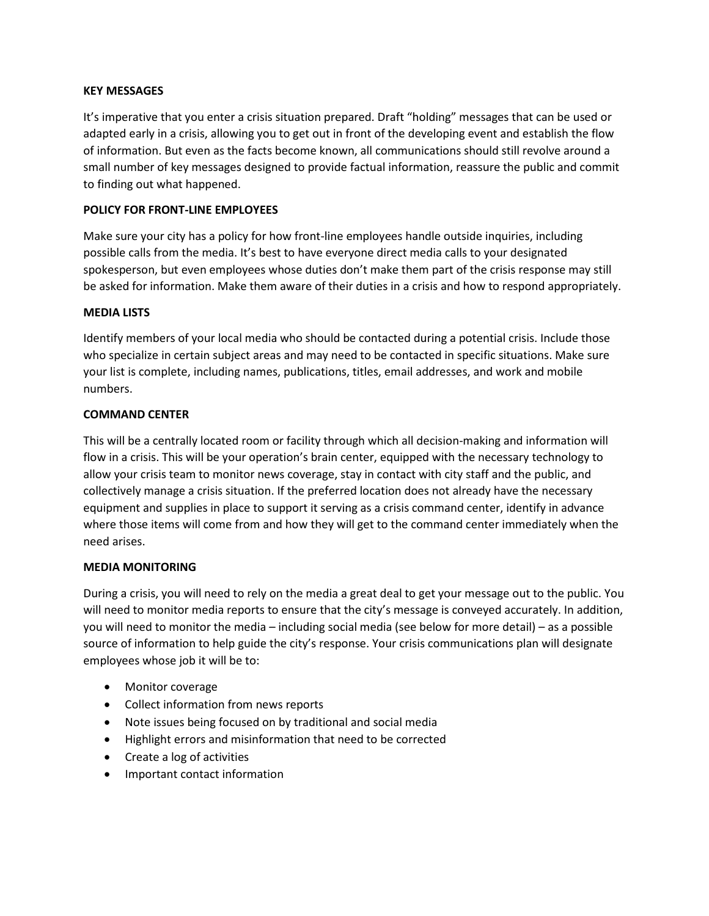#### **KEY MESSAGES**

It's imperative that you enter a crisis situation prepared. Draft "holding" messages that can be used or adapted early in a crisis, allowing you to get out in front of the developing event and establish the flow of information. But even as the facts become known, all communications should still revolve around a small number of key messages designed to provide factual information, reassure the public and commit to finding out what happened.

## **POLICY FOR FRONT-LINE EMPLOYEES**

Make sure your city has a policy for how front-line employees handle outside inquiries, including possible calls from the media. It's best to have everyone direct media calls to your designated spokesperson, but even employees whose duties don't make them part of the crisis response may still be asked for information. Make them aware of their duties in a crisis and how to respond appropriately.

#### **MEDIA LISTS**

Identify members of your local media who should be contacted during a potential crisis. Include those who specialize in certain subject areas and may need to be contacted in specific situations. Make sure your list is complete, including names, publications, titles, email addresses, and work and mobile numbers.

## **COMMAND CENTER**

This will be a centrally located room or facility through which all decision-making and information will flow in a crisis. This will be your operation's brain center, equipped with the necessary technology to allow your crisis team to monitor news coverage, stay in contact with city staff and the public, and collectively manage a crisis situation. If the preferred location does not already have the necessary equipment and supplies in place to support it serving as a crisis command center, identify in advance where those items will come from and how they will get to the command center immediately when the need arises.

## **MEDIA MONITORING**

During a crisis, you will need to rely on the media a great deal to get your message out to the public. You will need to monitor media reports to ensure that the city's message is conveyed accurately. In addition, you will need to monitor the media – including social media (see below for more detail) – as a possible source of information to help guide the city's response. Your crisis communications plan will designate employees whose job it will be to:

- Monitor coverage
- Collect information from news reports
- Note issues being focused on by traditional and social media
- Highlight errors and misinformation that need to be corrected
- Create a log of activities
- Important contact information